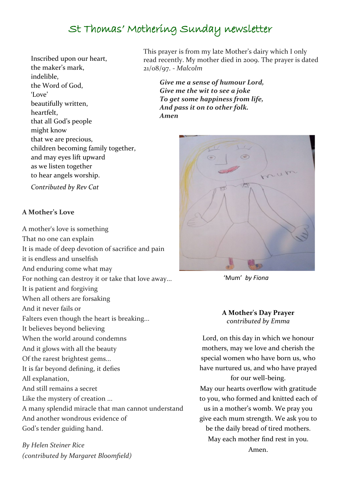# St Thomas' Mothering Sunday newsletter

Inscribed upon our heart, the maker's mark, indelible, the Word of God, 'Love' beautifully written, heartfelt, that all God's people might know that we are precious, children becoming family together, and may eyes lift upward as we listen together to hear angels worship.

*Contributed by Rev Cat*

#### **A Mother's Love**

A mother's love is something That no one can explain It is made of deep devotion of sacrifice and pain it is endless and unselfish And enduring come what may For nothing can destroy it or take that love away... It is patient and forgiving When all others are forsaking And it never fails or Falters even though the heart is breaking... It believes beyond believing When the world around condemns And it glows with all the beauty Of the rarest brightest gems... It is far beyond defining, it defies All explanation, And still remains a secret Like the mystery of creation ... A many splendid miracle that man cannot understand And another wondrous evidence of God's tender guiding hand.

*By Helen Steiner Rice (contributed by Margaret Bloomfield)* This prayer is from my late Mother's dairy which I only read recently. My mother died in 2009. The prayer is dated 21/08/97. - *Malcolm*

*Give me a sense of humour Lord, Give me the wit to see a joke To get some happiness from life, And pass it on to other folk. Amen*



'Mum' *by Fiona*

#### **A Mother's Day Prayer** *contributed by Emma*

Lord, on this day in which we honour mothers, may we love and cherish the special women who have born us, who have nurtured us, and who have prayed for our well-being.

May our hearts overflow with gratitude to you, who formed and knitted each of us in a mother's womb. We pray you give each mum strength. We ask you to be the daily bread of tired mothers. May each mother find rest in you. Amen.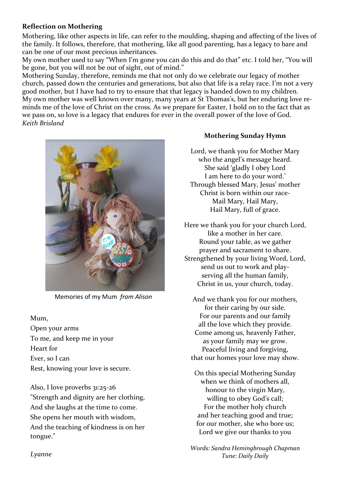### **Reflection on Mothering**

Mothering, like other aspects in life, can refer to the moulding, shaping and affecting of the lives of the family. It follows, therefore, that mothering, like all good parenting, has a legacy to bare and can be one of our most precious inheritances.

My own mother used to say "When I'm gone you can do this and do that" etc. I told her, "You will be gone, but you will not be out of sight, out of mind."

Mothering Sunday, therefore, reminds me that not only do we celebrate our legacy of mother church, passed down the centuries and generations, but also that life is a relay race. I'm not a very good mother, but I have had to try to ensure that that legacy is handed down to my children. My own mother was well known over many, many years at St Thomas's, but her enduring love reminds me of the love of Christ on the cross. As we prepare for Easter, I hold on to the fact that as we pass on, so love is a legacy that endures for ever in the overall power of the love of God. *Keith Brisland*



Memories of my Mum *from Alison*

#### Mum,

Open your arms To me, and keep me in your Heart for Ever, so I can Rest, knowing your love is secure.

Also, I love proverbs 31:25-26 "Strength and dignity are her clothing, And she laughs at the time to come. She opens her mouth with wisdom, And the teaching of kindness is on her tongue."

## **Mothering Sunday Hymn**

Lord, we thank you for Mother Mary who the angel's message heard. She said 'gladly I obey Lord I am here to do your word.' Through blessed Mary, Jesus' mother Christ is born within our race-Mail Mary, Hail Mary, Hail Mary, full of grace.

Here we thank you for your church Lord, like a mother in her care. Round your table, as we gather prayer and sacrament to share. Strengthened by your living Word, Lord, send us out to work and playserving all the human family, Christ in us, your church, today.

And we thank you for our mothers, for their caring by our side. For our parents and our family all the love which they provide. Come among us, heavenly Father, as your family may we grow. Peaceful living and forgiving, that our homes your love may show.

On this special Mothering Sunday when we think of mothers all, honour to the virgin Mary, willing to obey God's call; For the mother holy church and her teaching good and true; for our mother, she who bore us; Lord we give our thanks to you

*Words: Sandra Hemingbrough Chapman Tune: Daily Daily*

*Lyanne*